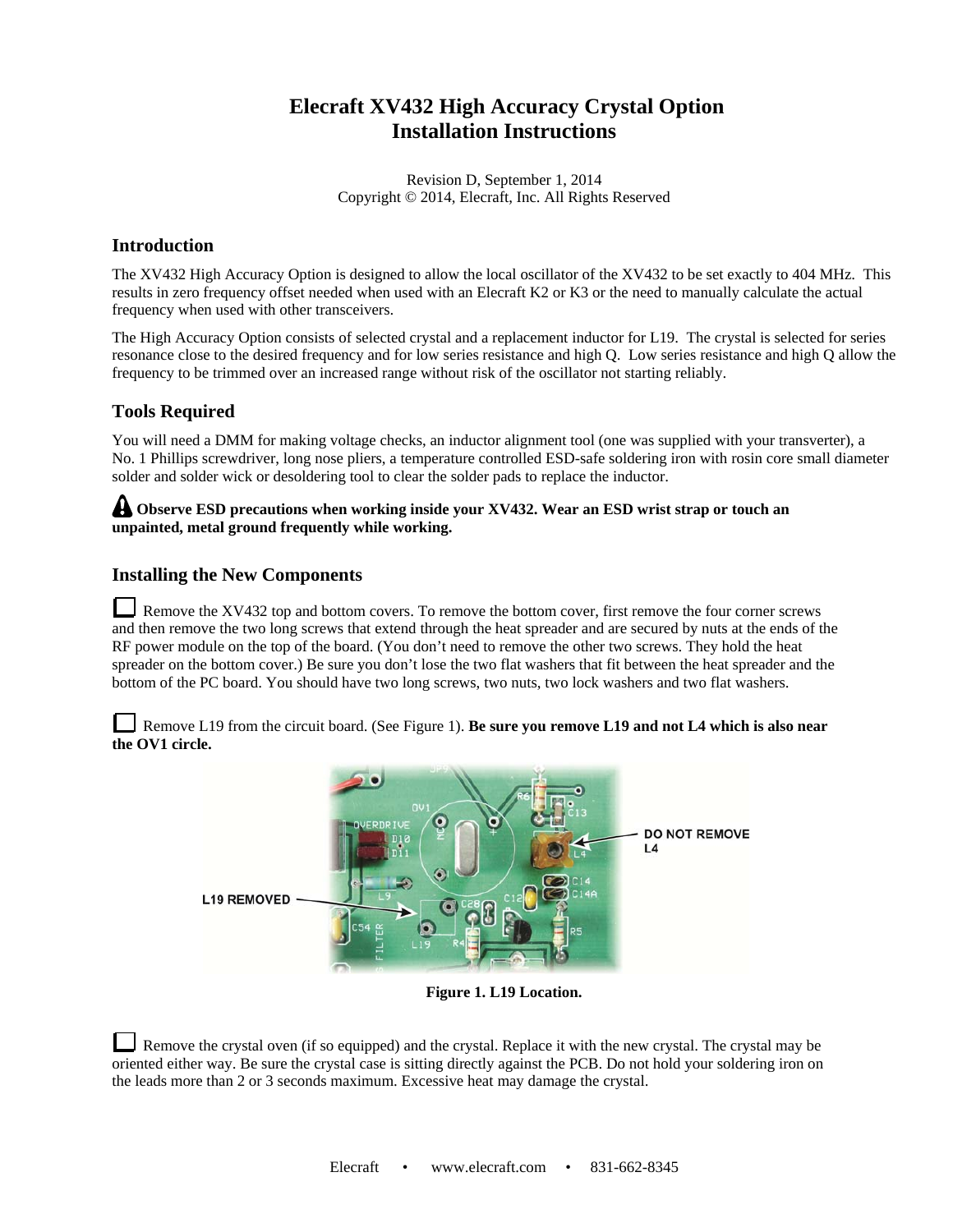# **Elecraft XV432 High Accuracy Crystal Option Installation Instructions**

Revision D, September 1, 2014 Copyright © 2014, Elecraft, Inc. All Rights Reserved

### **Introduction**

The XV432 High Accuracy Option is designed to allow the local oscillator of the XV432 to be set exactly to 404 MHz. This results in zero frequency offset needed when used with an Elecraft K2 or K3 or the need to manually calculate the actual frequency when used with other transceivers.

The High Accuracy Option consists of selected crystal and a replacement inductor for L19. The crystal is selected for series resonance close to the desired frequency and for low series resistance and high Q. Low series resistance and high Q allow the frequency to be trimmed over an increased range without risk of the oscillator not starting reliably.

## **Tools Required**

You will need a DMM for making voltage checks, an inductor alignment tool (one was supplied with your transverter), a No. 1 Phillips screwdriver, long nose pliers, a temperature controlled ESD-safe soldering iron with rosin core small diameter solder and solder wick or desoldering tool to clear the solder pads to replace the inductor.

#### A Observe ESD precautions when working inside your XV432. Wear an ESD wrist strap or touch an **unpainted, metal ground frequently while working.**

#### **Installing the New Components**

Remove the XV432 top and bottom covers. To remove the bottom cover, first remove the four corner screws and then remove the two long screws that extend through the heat spreader and are secured by nuts at the ends of the RF power module on the top of the board. (You don't need to remove the other two screws. They hold the heat spreader on the bottom cover.) Be sure you don't lose the two flat washers that fit between the heat spreader and the bottom of the PC board. You should have two long screws, two nuts, two lock washers and two flat washers.

Remove L19 from the circuit board. (See Figure 1). **Be sure you remove L19 and not L4 which is also near the OV1 circle.** 



**Figure 1. L19 Location.**

Remove the crystal oven (if so equipped) and the crystal. Replace it with the new crystal. The crystal may be oriented either way. Be sure the crystal case is sitting directly against the PCB. Do not hold your soldering iron on the leads more than 2 or 3 seconds maximum. Excessive heat may damage the crystal.